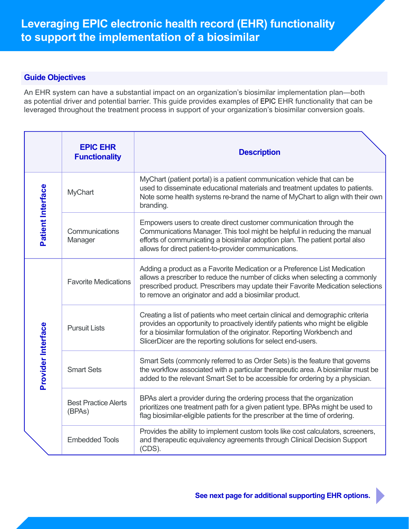# **Guide Objectives**

An EHR system can have a substantial impact on an organization's biosimilar implementation plan—both as potential driver and potential barrier. This guide provides examples of EPIC EHR functionality that can be leveraged throughout the treatment process in support of your organization's biosimilar conversion goals.

|                    | <b>EPIC EHR</b><br><b>Functionality</b> | <b>Description</b>                                                                                                                                                                                                                                                                                           |
|--------------------|-----------------------------------------|--------------------------------------------------------------------------------------------------------------------------------------------------------------------------------------------------------------------------------------------------------------------------------------------------------------|
| Patient Interface  | <b>MyChart</b>                          | MyChart (patient portal) is a patient communication vehicle that can be<br>used to disseminate educational materials and treatment updates to patients.<br>Note some health systems re-brand the name of MyChart to align with their own<br>branding.                                                        |
|                    | Communications<br>Manager               | Empowers users to create direct customer communication through the<br>Communications Manager. This tool might be helpful in reducing the manual<br>efforts of communicating a biosimilar adoption plan. The patient portal also<br>allows for direct patient-to-provider communications.                     |
| Provider Interface | <b>Favorite Medications</b>             | Adding a product as a Favorite Medication or a Preference List Medication<br>allows a prescriber to reduce the number of clicks when selecting a commonly<br>prescribed product. Prescribers may update their Favorite Medication selections<br>to remove an originator and add a biosimilar product.        |
|                    | <b>Pursuit Lists</b>                    | Creating a list of patients who meet certain clinical and demographic criteria<br>provides an opportunity to proactively identify patients who might be eligible<br>for a biosimilar formulation of the originator. Reporting Workbench and<br>SlicerDicer are the reporting solutions for select end-users. |
|                    | <b>Smart Sets</b>                       | Smart Sets (commonly referred to as Order Sets) is the feature that governs<br>the workflow associated with a particular therapeutic area. A biosimilar must be<br>added to the relevant Smart Set to be accessible for ordering by a physician.                                                             |
|                    | <b>Best Practice Alerts</b><br>(BPAs)   | BPAs alert a provider during the ordering process that the organization<br>prioritizes one treatment path for a given patient type. BPAs might be used to<br>flag biosimilar-eligible patients for the prescriber at the time of ordering.                                                                   |
|                    | <b>Embedded Tools</b>                   | Provides the ability to implement custom tools like cost calculators, screeners,<br>and therapeutic equivalency agreements through Clinical Decision Support<br>$(CDS)$ .                                                                                                                                    |